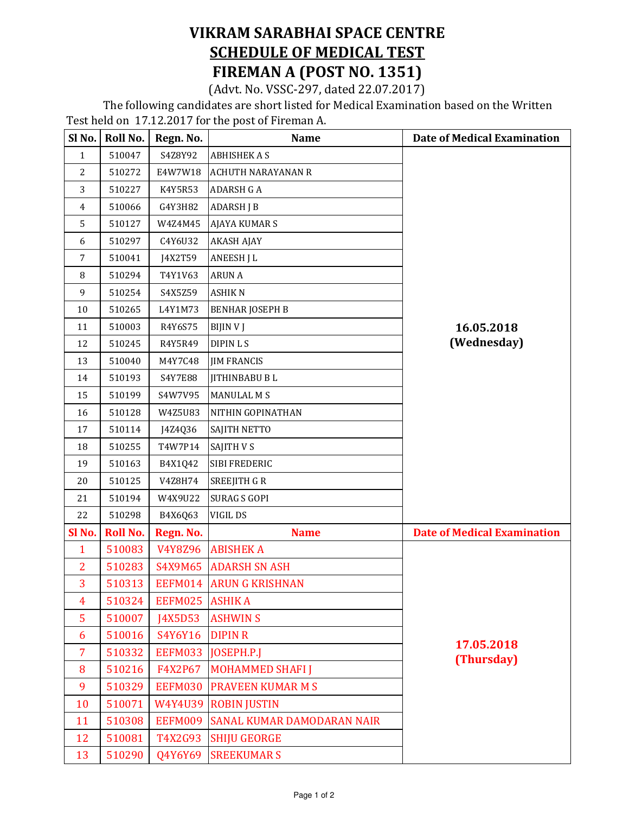## VIKRAM SARABHAI SPACE CENTRE SCHEDULE OF MEDICAL TEST FIREMAN A (POST NO. 1351)

(Advt. No. VSSC-297, dated 22.07.2017)

 The following candidates are short listed for Medical Examination based on the Written Test held on 17.12.2017 for the post of Fireman A.

| Sl No.       | Roll No.        | Regn. No.      | <b>Name</b>                       | <b>Date of Medical Examination</b> |
|--------------|-----------------|----------------|-----------------------------------|------------------------------------|
| 1            | 510047          | S4Z8Y92        | <b>ABHISHEK A S</b>               | 16.05.2018<br>(Wednesday)          |
| 2            | 510272          | E4W7W18        | <b>ACHUTH NARAYANAN R</b>         |                                    |
| 3            | 510227          | K4Y5R53        | <b>ADARSH G A</b>                 |                                    |
| 4            | 510066          | G4Y3H82        | <b>ADARSH J B</b>                 |                                    |
| 5            | 510127          | W4Z4M45        | <b>AJAYA KUMAR S</b>              |                                    |
| 6            | 510297          | C4Y6U32        | <b>AKASH AJAY</b>                 |                                    |
| 7            | 510041          | J4X2T59        | <b>ANEESH J L</b>                 |                                    |
| 8            | 510294          | T4Y1V63        | <b>ARUN A</b>                     |                                    |
| 9            | 510254          | S4X5Z59        | <b>ASHIKN</b>                     |                                    |
| 10           | 510265          | L4Y1M73        | <b>BENHAR JOSEPH B</b>            |                                    |
| 11           | 510003          | R4Y6S75        | <b>BIJIN V J</b>                  |                                    |
| 12           | 510245          | R4Y5R49        | <b>DIPIN L S</b>                  |                                    |
| 13           | 510040          | M4Y7C48        | <b>JIM FRANCIS</b>                |                                    |
| 14           | 510193          | S4Y7E88        | <b>JITHINBABU BL</b>              |                                    |
| 15           | 510199          | S4W7V95        | <b>MANULAL MS</b>                 |                                    |
| 16           | 510128          | W4Z5U83        | NITHIN GOPINATHAN                 |                                    |
| 17           | 510114          | J4Z4Q36        | SAJITH NETTO                      |                                    |
| 18           | 510255          | T4W7P14        | <b>SAJITH V S</b>                 |                                    |
| 19           | 510163          | B4X1Q42        | SIBI FREDERIC                     |                                    |
| 20           | 510125          | V4Z8H74        | <b>SREEJITH G R</b>               |                                    |
| 21           | 510194          | W4X9U22        | <b>SURAG S GOPI</b>               |                                    |
| 22           | 510298          | B4X6Q63        | VIGIL DS                          |                                    |
| Sl No.       | <b>Roll No.</b> | Regn. No.      | <b>Name</b>                       | <b>Date of Medical Examination</b> |
| $\mathbf{1}$ | 510083          | V4Y8Z96        | <b>ABISHEK A</b>                  | 17.05.2018<br>(Thursday)           |
| 2            | 510283          |                | S4X9M65 ADARSH SN ASH             |                                    |
| 3            | 510313          |                | EEFM014 ARUN G KRISHNAN           |                                    |
| 4            | 510324          | EEFM025 ASHIKA |                                   |                                    |
| 5            | 510007          | J4X5D53        | <b>ASHWIN S</b>                   |                                    |
| 6            | 510016          | S4Y6Y16        | <b>DIPIN R</b>                    |                                    |
| 7            | 510332          | EEFM033        | <b>JOSEPH.P.J</b>                 |                                    |
| 8            | 510216          | F4X2P67        | <b>MOHAMMED SHAFI J</b>           |                                    |
| 9            | 510329          | EEFM030        | <b>PRAVEEN KUMAR M S</b>          |                                    |
| 10           | 510071          | W4Y4U39        | <b>ROBIN JUSTIN</b>               |                                    |
| 11           | 510308          | EEFM009        | <b>SANAL KUMAR DAMODARAN NAIR</b> |                                    |
| 12           | 510081          | T4X2G93        | <b>SHIJU GEORGE</b>               |                                    |
| 13           | 510290          | Q4Y6Y69        | <b>SREEKUMAR S</b>                |                                    |